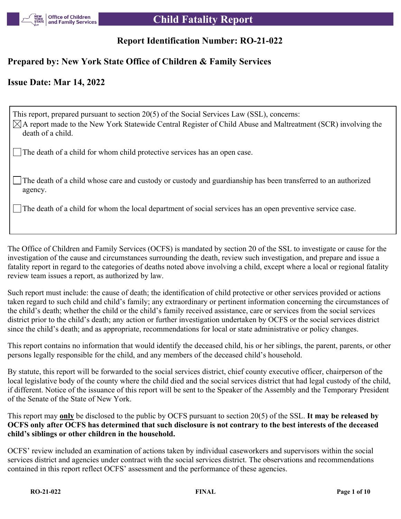

# **Report Identification Number: RO-21-022**

# **Prepared by: New York State Office of Children & Family Services**

# **Issue Date: Mar 14, 2022**

This report, prepared pursuant to section 20(5) of the Social Services Law (SSL), concerns:  $\boxtimes$ A report made to the New York Statewide Central Register of Child Abuse and Maltreatment (SCR) involving the death of a child.

The death of a child for whom child protective services has an open case.

The death of a child whose care and custody or custody and guardianship has been transferred to an authorized agency.

The death of a child for whom the local department of social services has an open preventive service case.

The Office of Children and Family Services (OCFS) is mandated by section 20 of the SSL to investigate or cause for the investigation of the cause and circumstances surrounding the death, review such investigation, and prepare and issue a fatality report in regard to the categories of deaths noted above involving a child, except where a local or regional fatality review team issues a report, as authorized by law.

Such report must include: the cause of death; the identification of child protective or other services provided or actions taken regard to such child and child's family; any extraordinary or pertinent information concerning the circumstances of the child's death; whether the child or the child's family received assistance, care or services from the social services district prior to the child's death; any action or further investigation undertaken by OCFS or the social services district since the child's death; and as appropriate, recommendations for local or state administrative or policy changes.

This report contains no information that would identify the deceased child, his or her siblings, the parent, parents, or other persons legally responsible for the child, and any members of the deceased child's household.

By statute, this report will be forwarded to the social services district, chief county executive officer, chairperson of the local legislative body of the county where the child died and the social services district that had legal custody of the child, if different. Notice of the issuance of this report will be sent to the Speaker of the Assembly and the Temporary President of the Senate of the State of New York.

This report may **only** be disclosed to the public by OCFS pursuant to section 20(5) of the SSL. **It may be released by OCFS only after OCFS has determined that such disclosure is not contrary to the best interests of the deceased child's siblings or other children in the household.**

OCFS' review included an examination of actions taken by individual caseworkers and supervisors within the social services district and agencies under contract with the social services district. The observations and recommendations contained in this report reflect OCFS' assessment and the performance of these agencies.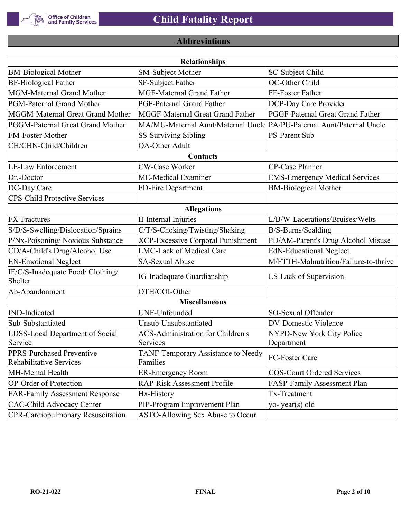

# **Abbreviations**

| <b>Relationships</b>                                 |                                                                       |                                       |  |  |  |
|------------------------------------------------------|-----------------------------------------------------------------------|---------------------------------------|--|--|--|
| <b>BM-Biological Mother</b>                          | <b>SM-Subject Mother</b>                                              | SC-Subject Child                      |  |  |  |
| <b>BF-Biological Father</b>                          | SF-Subject Father                                                     | OC-Other Child                        |  |  |  |
| MGM-Maternal Grand Mother                            | <b>MGF-Maternal Grand Father</b>                                      | FF-Foster Father                      |  |  |  |
| PGM-Paternal Grand Mother                            | PGF-Paternal Grand Father                                             | DCP-Day Care Provider                 |  |  |  |
| MGGM-Maternal Great Grand Mother                     | MGGF-Maternal Great Grand Father                                      | PGGF-Paternal Great Grand Father      |  |  |  |
| PGGM-Paternal Great Grand Mother                     | MA/MU-Maternal Aunt/Maternal Uncle PA/PU-Paternal Aunt/Paternal Uncle |                                       |  |  |  |
| <b>FM-Foster Mother</b>                              | <b>SS-Surviving Sibling</b>                                           | <b>PS-Parent Sub</b>                  |  |  |  |
| CH/CHN-Child/Children                                | <b>OA-Other Adult</b>                                                 |                                       |  |  |  |
|                                                      | Contacts                                                              |                                       |  |  |  |
| <b>LE-Law Enforcement</b>                            | <b>CW-Case Worker</b>                                                 | CP-Case Planner                       |  |  |  |
| Dr.-Doctor                                           | ME-Medical Examiner                                                   | <b>EMS-Emergency Medical Services</b> |  |  |  |
| DC-Day Care                                          | FD-Fire Department                                                    | <b>BM-Biological Mother</b>           |  |  |  |
| <b>CPS-Child Protective Services</b>                 |                                                                       |                                       |  |  |  |
|                                                      | <b>Allegations</b>                                                    |                                       |  |  |  |
| <b>FX-Fractures</b>                                  | <b>II-Internal Injuries</b>                                           | L/B/W-Lacerations/Bruises/Welts       |  |  |  |
| S/D/S-Swelling/Dislocation/Sprains                   | C/T/S-Choking/Twisting/Shaking                                        | B/S-Burns/Scalding                    |  |  |  |
| P/Nx-Poisoning/ Noxious Substance                    | <b>XCP-Excessive Corporal Punishment</b>                              | PD/AM-Parent's Drug Alcohol Misuse    |  |  |  |
| CD/A-Child's Drug/Alcohol Use                        | <b>LMC-Lack of Medical Care</b>                                       | <b>EdN-Educational Neglect</b>        |  |  |  |
| <b>EN-Emotional Neglect</b>                          | <b>SA-Sexual Abuse</b>                                                | M/FTTH-Malnutrition/Failure-to-thrive |  |  |  |
| IF/C/S-Inadequate Food/ Clothing/<br>Shelter         | <b>IG-Inadequate Guardianship</b>                                     | LS-Lack of Supervision                |  |  |  |
| Ab-Abandonment                                       | OTH/COI-Other                                                         |                                       |  |  |  |
|                                                      | <b>Miscellaneous</b>                                                  |                                       |  |  |  |
| <b>IND-Indicated</b>                                 | UNF-Unfounded                                                         | SO-Sexual Offender                    |  |  |  |
| Sub-Substantiated                                    | Unsub-Unsubstantiated                                                 | <b>DV-Domestic Violence</b>           |  |  |  |
| LDSS-Local Department of Social                      | <b>ACS-Administration for Children's</b>                              | NYPD-New York City Police             |  |  |  |
| Service                                              | Services                                                              | Department                            |  |  |  |
| PPRS-Purchased Preventive<br>Rehabilitative Services | TANF-Temporary Assistance to Needy<br>Families                        | FC-Foster Care                        |  |  |  |
| MH-Mental Health                                     | <b>ER-Emergency Room</b>                                              | <b>COS-Court Ordered Services</b>     |  |  |  |
| <b>OP-Order of Protection</b>                        | <b>RAP-Risk Assessment Profile</b>                                    | FASP-Family Assessment Plan           |  |  |  |
| <b>FAR-Family Assessment Response</b>                | Hx-History                                                            | Tx-Treatment                          |  |  |  |
| <b>CAC-Child Advocacy Center</b>                     | PIP-Program Improvement Plan                                          | yo-year(s) old                        |  |  |  |
| <b>CPR-Cardiopulmonary Resuscitation</b>             | ASTO-Allowing Sex Abuse to Occur                                      |                                       |  |  |  |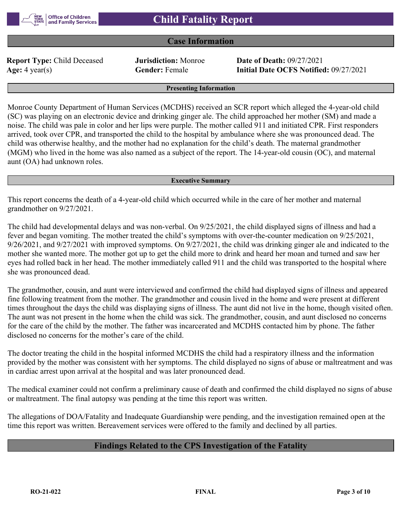### **Case Information**

**Report Type:** Child Deceased **Jurisdiction:** Monroe **Date of Death:** 09/27/2021

**Age:** 4 year(s) **Gender:** Female **Initial Date OCFS Notified:** 09/27/2021

#### **Presenting Information**

Monroe County Department of Human Services (MCDHS) received an SCR report which alleged the 4-year-old child (SC) was playing on an electronic device and drinking ginger ale. The child approached her mother (SM) and made a noise. The child was pale in color and her lips were purple. The mother called 911 and initiated CPR. First responders arrived, took over CPR, and transported the child to the hospital by ambulance where she was pronounced dead. The child was otherwise healthy, and the mother had no explanation for the child's death. The maternal grandmother (MGM) who lived in the home was also named as a subject of the report. The 14-year-old cousin (OC), and maternal aunt (OA) had unknown roles.

#### **Executive Summary**

This report concerns the death of a 4-year-old child which occurred while in the care of her mother and maternal grandmother on 9/27/2021.

The child had developmental delays and was non-verbal. On 9/25/2021, the child displayed signs of illness and had a fever and began vomiting. The mother treated the child's symptoms with over-the-counter medication on 9/25/2021, 9/26/2021, and 9/27/2021 with improved symptoms. On 9/27/2021, the child was drinking ginger ale and indicated to the mother she wanted more. The mother got up to get the child more to drink and heard her moan and turned and saw her eyes had rolled back in her head. The mother immediately called 911 and the child was transported to the hospital where she was pronounced dead.

The grandmother, cousin, and aunt were interviewed and confirmed the child had displayed signs of illness and appeared fine following treatment from the mother. The grandmother and cousin lived in the home and were present at different times throughout the days the child was displaying signs of illness. The aunt did not live in the home, though visited often. The aunt was not present in the home when the child was sick. The grandmother, cousin, and aunt disclosed no concerns for the care of the child by the mother. The father was incarcerated and MCDHS contacted him by phone. The father disclosed no concerns for the mother's care of the child.

The doctor treating the child in the hospital informed MCDHS the child had a respiratory illness and the information provided by the mother was consistent with her symptoms. The child displayed no signs of abuse or maltreatment and was in cardiac arrest upon arrival at the hospital and was later pronounced dead.

The medical examiner could not confirm a preliminary cause of death and confirmed the child displayed no signs of abuse or maltreatment. The final autopsy was pending at the time this report was written.

The allegations of DOA/Fatality and Inadequate Guardianship were pending, and the investigation remained open at the time this report was written. Bereavement services were offered to the family and declined by all parties.

# **Findings Related to the CPS Investigation of the Fatality**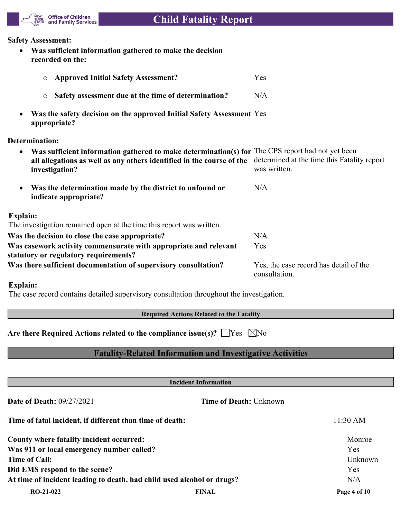

#### **Safety Assessment:**

 **Was sufficient information gathered to make the decision recorded on the:**

| <b>Approved Initial Safety Assessment?</b><br>$\circ$                                                                                                                                       | Yes                                                         |
|---------------------------------------------------------------------------------------------------------------------------------------------------------------------------------------------|-------------------------------------------------------------|
| Safety assessment due at the time of determination?<br>$\circ$                                                                                                                              | N/A                                                         |
| Was the safety decision on the approved Initial Safety Assessment Yes<br>appropriate?                                                                                                       |                                                             |
| Determination:                                                                                                                                                                              |                                                             |
| Was sufficient information gathered to make determination(s) for The CPS report had not yet been<br>all allegations as well as any others identified in the course of the<br>investigation? | determined at the time this Fatality report<br>was written. |
| Was the determination made by the district to unfound or<br>indicate appropriate?                                                                                                           | N/A                                                         |
| <b>Explain:</b>                                                                                                                                                                             |                                                             |
| The investigation remained open at the time this report was written.                                                                                                                        |                                                             |
| Was the decision to close the case appropriate?                                                                                                                                             | N/A                                                         |
| Was casework activity commensurate with appropriate and relevant<br>statutory or regulatory requirements?                                                                                   | Yes                                                         |
| Was there sufficient documentation of supervisory consultation?                                                                                                                             | Yes, the case record has detail of the<br>consultation.     |

# **Explain:**

The case record contains detailed supervisory consultation throughout the investigation.

**Required Actions Related to the Fatality**

Are there Required Actions related to the compliance issue(s)?  $\Box$  Yes  $\Box$  No

# **Fatality-Related Information and Investigative Activities**

|                                                                        | <b>Incident Information</b>   |              |  |  |
|------------------------------------------------------------------------|-------------------------------|--------------|--|--|
| <b>Date of Death: 09/27/2021</b>                                       | <b>Time of Death: Unknown</b> |              |  |  |
| Time of fatal incident, if different than time of death:               |                               | 11:30 AM     |  |  |
| County where fatality incident occurred:                               |                               | Monroe       |  |  |
| Was 911 or local emergency number called?                              |                               | Yes          |  |  |
| Time of Call:                                                          |                               | Unknown      |  |  |
| Did EMS respond to the scene?                                          |                               | <b>Yes</b>   |  |  |
| At time of incident leading to death, had child used alcohol or drugs? |                               | N/A          |  |  |
| $RO-21-022$                                                            | <b>FINAL</b>                  | Page 4 of 10 |  |  |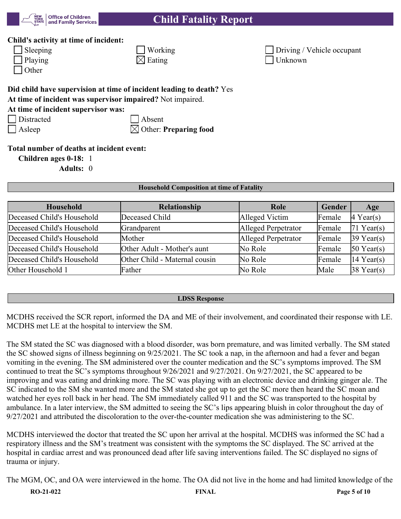

### **Child's activity at time of incident:**

| Sleepin |
|---------|
| Playing |
| Other   |

| $\Box$ Sleeping | $\sqrt{\frac{1}{1}}$ Working | Driving / Vehicle occupant |
|-----------------|------------------------------|----------------------------|
| $\Box$ Playing  | $\boxtimes$ Eating           | Unknown                    |

# **Did child have supervision at time of incident leading to death?** Yes

**At time of incident was supervisor impaired?** Not impaired.

# **At time of incident supervisor was:**

| Distracted |
|------------|
|------------|

| Absent

Asleep  $\boxtimes$  Other: **Preparing food** 

# **Total number of deaths at incident event:**

**Children ages 0-18:** 1

**Adults:** 0

### **Household Composition at time of Fatality**

| <b>Household</b>           | Relationship                  | Role                | Gender | Age          |
|----------------------------|-------------------------------|---------------------|--------|--------------|
| Deceased Child's Household | Deceased Child                | Alleged Victim      | Female | $4$ Year(s)  |
| Deceased Child's Household | Grandparent                   | Alleged Perpetrator | Female | 71 Year(s)   |
| Deceased Child's Household | Mother                        | Alleged Perpetrator | Female | $39$ Year(s) |
| Deceased Child's Household | Other Adult - Mother's aunt   | No Role             | Female | $50$ Year(s) |
| Deceased Child's Household | Other Child - Maternal cousin | No Role             | Female | 14 Year(s)   |
| Other Household 1          | Father                        | No Role             | Male   | $38$ Year(s) |

#### **LDSS Response**

MCDHS received the SCR report, informed the DA and ME of their involvement, and coordinated their response with LE. MCDHS met LE at the hospital to interview the SM.

The SM stated the SC was diagnosed with a blood disorder, was born premature, and was limited verbally. The SM stated the SC showed signs of illness beginning on 9/25/2021. The SC took a nap, in the afternoon and had a fever and began vomiting in the evening. The SM administered over the counter medication and the SC's symptoms improved. The SM continued to treat the SC's symptoms throughout 9/26/2021 and 9/27/2021. On 9/27/2021, the SC appeared to be improving and was eating and drinking more. The SC was playing with an electronic device and drinking ginger ale. The SC indicated to the SM she wanted more and the SM stated she got up to get the SC more then heard the SC moan and watched her eyes roll back in her head. The SM immediately called 911 and the SC was transported to the hospital by ambulance. In a later interview, the SM admitted to seeing the SC's lips appearing bluish in color throughout the day of 9/27/2021 and attributed the discoloration to the over-the-counter medication she was administering to the SC.

MCDHS interviewed the doctor that treated the SC upon her arrival at the hospital. MCDHS was informed the SC had a respiratory illness and the SM's treatment was consistent with the symptoms the SC displayed. The SC arrived at the hospital in cardiac arrest and was pronounced dead after life saving interventions failed. The SC displayed no signs of trauma or injury.

The MGM, OC, and OA were interviewed in the home. The OA did not live in the home and had limited knowledge of the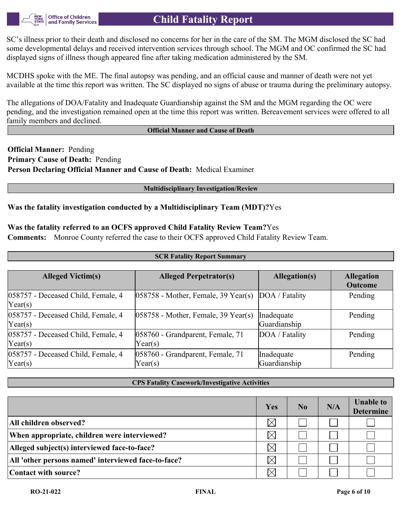

SC's illness prior to their death and disclosed no concerns for her in the care of the SM. The MGM disclosed the SC had some developmental delays and received intervention services through school. The MGM and OC confirmed the SC had displayed signs of illness though appeared fine after taking medication administered by the SM.

MCDHS spoke with the ME. The final autopsy was pending, and an official cause and manner of death were not yet available at the time this report was written. The SC displayed no signs of abuse or trauma during the preliminary autopsy.

The allegations of DOA/Fatality and Inadequate Guardianship against the SM and the MGM regarding the OC were pending, and the investigation remained open at the time this report was written. Bereavement services were offered to all family members and declined.

#### **Official Manner and Cause of Death**

**Official Manner:** Pending **Primary Cause of Death:** Pending **Person Declaring Official Manner and Cause of Death:** Medical Examiner

#### **Multidisciplinary Investigation/Review**

### **Was the fatality investigation conducted by a Multidisciplinary Team (MDT)?**Yes

### **Was the fatality referred to an OCFS approved Child Fatality Review Team?**Yes

**Comments:** Monroe County referred the case to their OCFS approved Child Fatality Review Team.

| <b>Alleged Victim(s)</b>                               | <b>Alleged Perpetrator(s)</b>               | Allegation(s)              | <b>Allegation</b><br><b>Outcome</b> |
|--------------------------------------------------------|---------------------------------------------|----------------------------|-------------------------------------|
| 058757 - Deceased Child, Female, 4<br>$\text{Year}(s)$ | $ 058758$ - Mother, Female, 39 Year(s)      | DOA / Fatality             | Pending                             |
| 058757 - Deceased Child, Female, 4<br>$\text{Year}(s)$ | $ 058758$ - Mother, Female, 39 Year(s)      | Inadequate<br>Guardianship | Pending                             |
| 058757 - Deceased Child, Female, 4<br>$\text{Year}(s)$ | 058760 - Grandparent, Female, 71<br>Year(s) | DOA / Fatality             | Pending                             |
| 058757 - Deceased Child, Female, 4<br>$\text{Year}(s)$ | 058760 - Grandparent, Female, 71<br>Year(s) | Inadequate<br>Guardianship | Pending                             |

**SCR Fatality Report Summary**

#### **CPS Fatality Casework/Investigative Activities**

|                                                     | Yes      | $\bf No$ | N/A | <b>Unable to</b><br><b>Determine</b> |
|-----------------------------------------------------|----------|----------|-----|--------------------------------------|
| All children observed?                              | $\times$ |          |     |                                      |
| When appropriate, children were interviewed?        | $\times$ |          |     |                                      |
| Alleged subject(s) interviewed face-to-face?        | $\times$ |          |     |                                      |
| All 'other persons named' interviewed face-to-face? | $\times$ |          |     |                                      |
| Contact with source?                                | $\times$ |          |     |                                      |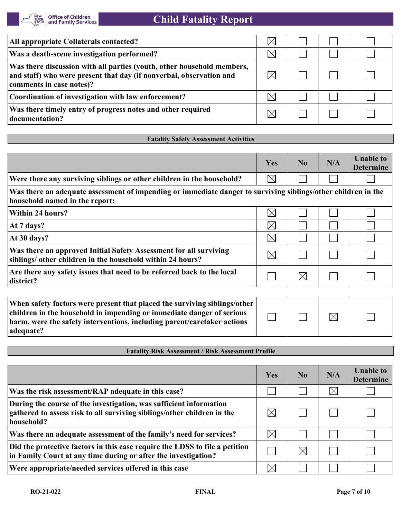| All appropriate Collaterals contacted?                                                                                                                                    | $\times$ |  |  |
|---------------------------------------------------------------------------------------------------------------------------------------------------------------------------|----------|--|--|
| Was a death-scene investigation performed?                                                                                                                                | X        |  |  |
| Was there discussion with all parties (youth, other household members,<br>and staff) who were present that day (if nonverbal, observation and<br>comments in case notes)? |          |  |  |
| Coordination of investigation with law enforcement?                                                                                                                       |          |  |  |
| Was there timely entry of progress notes and other required<br>documentation?                                                                                             |          |  |  |

### **Fatality Safety Assessment Activities**

|                                                                                                                                                                                                                                            | Yes         | No          | N/A         | <b>Unable to</b><br><b>Determine</b> |
|--------------------------------------------------------------------------------------------------------------------------------------------------------------------------------------------------------------------------------------------|-------------|-------------|-------------|--------------------------------------|
| Were there any surviving siblings or other children in the household?                                                                                                                                                                      | $\boxtimes$ |             |             |                                      |
| Was there an adequate assessment of impending or immediate danger to surviving siblings/other children in the<br>household named in the report:                                                                                            |             |             |             |                                      |
| Within 24 hours?                                                                                                                                                                                                                           | $\boxtimes$ |             |             |                                      |
| At 7 days?                                                                                                                                                                                                                                 | $\boxtimes$ |             |             |                                      |
| At 30 days?                                                                                                                                                                                                                                | $\boxtimes$ |             |             |                                      |
| Was there an approved Initial Safety Assessment for all surviving<br>siblings/ other children in the household within 24 hours?                                                                                                            | $\boxtimes$ |             |             |                                      |
| Are there any safety issues that need to be referred back to the local<br>district?                                                                                                                                                        |             | $\boxtimes$ |             |                                      |
|                                                                                                                                                                                                                                            |             |             |             |                                      |
| When safety factors were present that placed the surviving siblings/other<br>children in the household in impending or immediate danger of serious<br>harm, were the safety interventions, including parent/caretaker actions<br>adequate? |             |             | $\boxtimes$ |                                      |

### **Fatality Risk Assessment / Risk Assessment Profile**

|                                                                                                                                                             | Yes         | N <sub>0</sub> | N/A         | <b>Unable to</b><br><b>Determine</b> |
|-------------------------------------------------------------------------------------------------------------------------------------------------------------|-------------|----------------|-------------|--------------------------------------|
| Was the risk assessment/RAP adequate in this case?                                                                                                          |             |                | $\boxtimes$ |                                      |
| During the course of the investigation, was sufficient information<br>gathered to assess risk to all surviving siblings/other children in the<br>household? | $\boxtimes$ |                |             |                                      |
| Was there an adequate assessment of the family's need for services?                                                                                         | $\boxtimes$ |                |             |                                      |
| Did the protective factors in this case require the LDSS to file a petition<br>in Family Court at any time during or after the investigation?               |             | IX             |             |                                      |
| Were appropriate/needed services offered in this case                                                                                                       |             |                |             |                                      |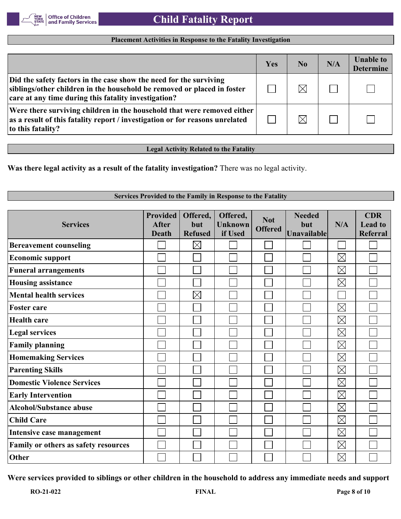

#### **Placement Activities in Response to the Fatality Investigation**

|                                                                                                                                                                                                       | Yes | N <sub>0</sub> | N/A | <b>Unable to</b><br><b>Determine</b> |
|-------------------------------------------------------------------------------------------------------------------------------------------------------------------------------------------------------|-----|----------------|-----|--------------------------------------|
| Did the safety factors in the case show the need for the surviving<br>siblings/other children in the household be removed or placed in foster<br>care at any time during this fatality investigation? |     | $\boxtimes$    |     |                                      |
| Were there surviving children in the household that were removed either<br>as a result of this fatality report / investigation or for reasons unrelated<br>to this fatality?                          |     | $\boxtimes$    |     |                                      |

**Legal Activity Related to the Fatality**

**Was there legal activity as a result of the fatality investigation?** There was no legal activity.

#### **Services Provided to the Family in Response to the Fatality Provided Offered, CDR Offered, Needed Not Services After but Unknown but N/A Lead to Offered Unavailable Death Refused if Used Referral**  $\boxtimes$ **Bereavement counseling**  $\Box$  $\boxtimes$  $\mathbb{R}^2$ **Economic support**  $\boxtimes$ **Funeral arrangements**  $\boxtimes$  $\overline{\phantom{0}}$ **Housing assistance**  $\boxtimes$ **Mental health services**  $\boxtimes$ **Foster care**  $\overline{a}$  $\mathcal{L}_{\mathcal{A}}$  $\overline{\phantom{a}}$  $\boxtimes$ **Health care**  $\overline{\phantom{0}}$  $\boxtimes$ **Legal services**  $\boxtimes$ **Family planning**  $\boxtimes$ **Homemaking Services**  $\Box$  $\boxtimes$ **Parenting Skills**  $\mathcal{L}$  $\boxtimes$ **Domestic Violence Services**  $\boxtimes$ **Early Intervention**  $\boxtimes$ **Alcohol/Substance abuse**  $\boxtimes$ **Child Care**  $\mathbf{I}$ **Intensive case management** Ξ  $\boxtimes$  $\mathbb{R}^2$  $\boxtimes$ **Family or others as safety resources**  $\boxtimes$ **Other**

**Were services provided to siblings or other children in the household to address any immediate needs and support**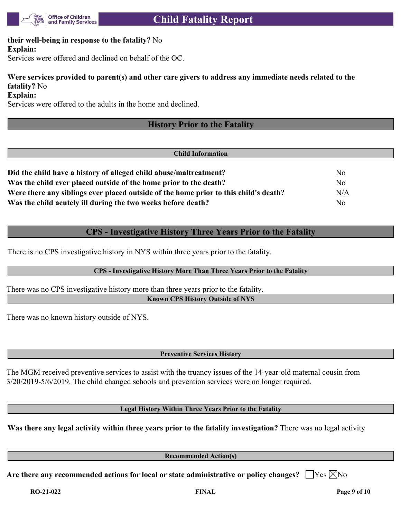

### **their well-being in response to the fatality?** No **Explain:**

Services were offered and declined on behalf of the OC.

# **Were services provided to parent(s) and other care givers to address any immediate needs related to the fatality?** No

**Explain:**

Services were offered to the adults in the home and declined.

# **History Prior to the Fatality**

#### **Child Information**

| Did the child have a history of alleged child abuse/maltreatment?                    | Nο  |
|--------------------------------------------------------------------------------------|-----|
| Was the child ever placed outside of the home prior to the death?                    | No  |
| Were there any siblings ever placed outside of the home prior to this child's death? | N/A |
| Was the child acutely ill during the two weeks before death?                         | No  |

# **CPS - Investigative History Three Years Prior to the Fatality**

There is no CPS investigative history in NYS within three years prior to the fatality.

### **CPS - Investigative History More Than Three Years Prior to the Fatality**

There was no CPS investigative history more than three years prior to the fatality. **Known CPS History Outside of NYS**

There was no known history outside of NYS.

**Preventive Services History**

The MGM received preventive services to assist with the truancy issues of the 14-year-old maternal cousin from 3/20/2019-5/6/2019. The child changed schools and prevention services were no longer required.

**Legal History Within Three Years Prior to the Fatality**

**Was there any legal activity within three years prior to the fatality investigation?** There was no legal activity

**Recommended Action(s)**

Are there any recommended actions for local or state administrative or policy changes?  $\Box$  Yes  $\boxtimes$  No